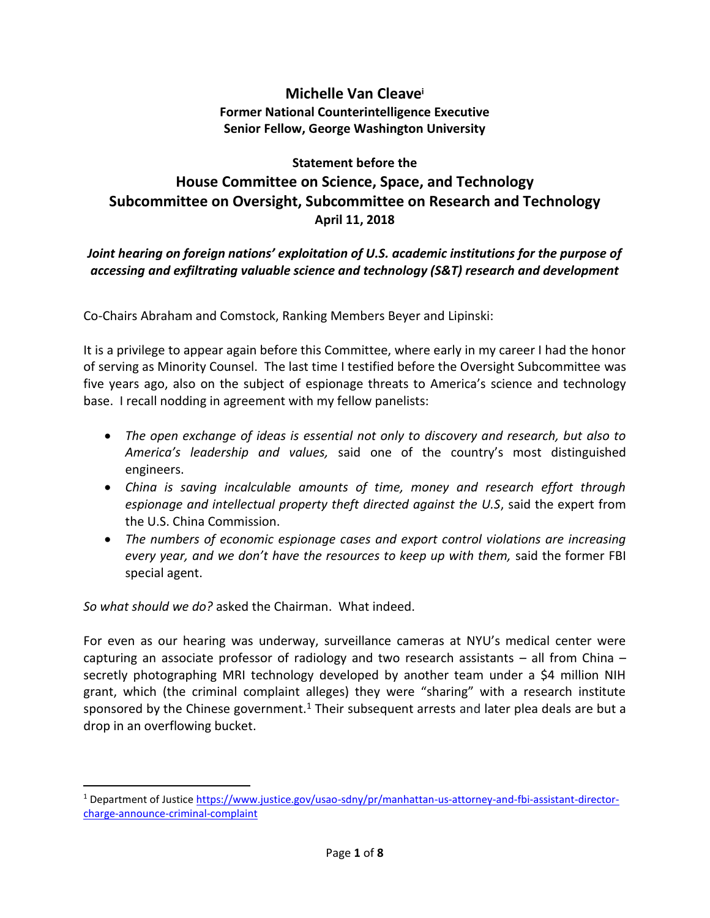## **Michelle Van Cleave<sup>i</sup> Former National Counterintelligence Executive Senior Fellow, George Washington University**

## **Statement before the House Committee on Science, Space, and Technology Subcommittee on Oversight, Subcommittee on Research and Technology April 11, 2018**

## *Joint hearing on foreign nations' exploitation of U.S. academic institutions for the purpose of accessing and exfiltrating valuable science and technology (S&T) research and development*

Co-Chairs Abraham and Comstock, Ranking Members Beyer and Lipinski:

It is a privilege to appear again before this Committee, where early in my career I had the honor of serving as Minority Counsel. The last time I testified before the Oversight Subcommittee was five years ago, also on the subject of espionage threats to America's science and technology base. I recall nodding in agreement with my fellow panelists:

- *The open exchange of ideas is essential not only to discovery and research, but also to America's leadership and values,* said one of the country's most distinguished engineers.
- *China is saving incalculable amounts of time, money and research effort through espionage and intellectual property theft directed against the U.S*, said the expert from the U.S. China Commission.
- *The numbers of economic espionage cases and export control violations are increasing every year, and we don't have the resources to keep up with them,* said the former FBI special agent.

*So what should we do?* asked the Chairman. What indeed.

 $\overline{\phantom{a}}$ 

For even as our hearing was underway, surveillance cameras at NYU's medical center were capturing an associate professor of radiology and two research assistants  $-$  all from China  $$ secretly photographing MRI technology developed by another team under a \$4 million NIH grant, which (the criminal complaint alleges) they were "sharing" with a research institute sponsored by the Chinese government.<sup>1</sup> Their subsequent arrests and later plea deals are but a drop in an overflowing bucket.

<sup>1</sup> Department of Justice [https://www.justice.gov/usao-sdny/pr/manhattan-us-attorney-and-fbi-assistant-director](https://www.justice.gov/usao-sdny/pr/manhattan-us-attorney-and-fbi-assistant-director-charge-announce-criminal-complaint)[charge-announce-criminal-complaint](https://www.justice.gov/usao-sdny/pr/manhattan-us-attorney-and-fbi-assistant-director-charge-announce-criminal-complaint)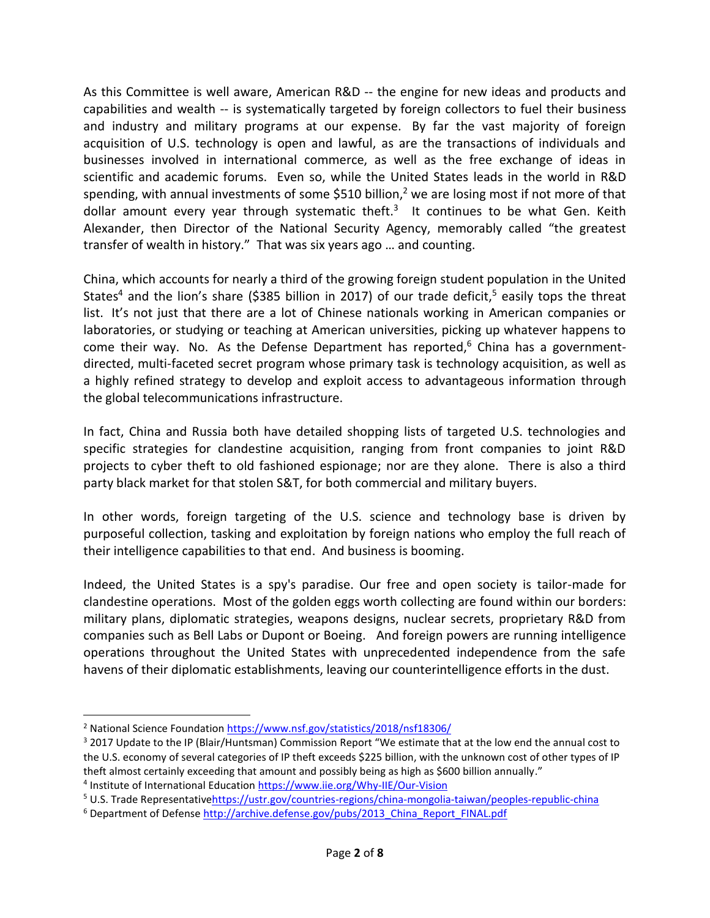As this Committee is well aware, American R&D -- the engine for new ideas and products and capabilities and wealth -- is systematically targeted by foreign collectors to fuel their business and industry and military programs at our expense. By far the vast majority of foreign acquisition of U.S. technology is open and lawful, as are the transactions of individuals and businesses involved in international commerce, as well as the free exchange of ideas in scientific and academic forums. Even so, while the United States leads in the world in R&D spending, with annual investments of some \$510 billion,<sup>2</sup> we are losing most if not more of that dollar amount every year through systematic theft.<sup>3</sup> It continues to be what Gen. Keith Alexander, then Director of the National Security Agency, memorably called "the greatest transfer of wealth in history." That was six years ago … and counting.

China, which accounts for nearly a third of the growing foreign student population in the United States<sup>4</sup> and the lion's share (\$385 billion in 2017) of our trade deficit,<sup>5</sup> easily tops the threat list. It's not just that there are a lot of Chinese nationals working in American companies or laboratories, or studying or teaching at American universities, picking up whatever happens to come their way. No. As the Defense Department has reported, $6$  China has a governmentdirected, multi-faceted secret program whose primary task is technology acquisition, as well as a highly refined strategy to develop and exploit access to advantageous information through the global telecommunications infrastructure.

In fact, China and Russia both have detailed shopping lists of targeted U.S. technologies and specific strategies for clandestine acquisition, ranging from front companies to joint R&D projects to cyber theft to old fashioned espionage; nor are they alone. There is also a third party black market for that stolen S&T, for both commercial and military buyers.

In other words, foreign targeting of the U.S. science and technology base is driven by purposeful collection, tasking and exploitation by foreign nations who employ the full reach of their intelligence capabilities to that end. And business is booming.

Indeed, the United States is a spy's paradise. Our free and open society is tailor-made for clandestine operations. Most of the golden eggs worth collecting are found within our borders: military plans, diplomatic strategies, weapons designs, nuclear secrets, proprietary R&D from companies such as Bell Labs or Dupont or Boeing. And foreign powers are running intelligence operations throughout the United States with unprecedented independence from the safe havens of their diplomatic establishments, leaving our counterintelligence efforts in the dust.

<sup>&</sup>lt;sup>2</sup> National Science Foundation<https://www.nsf.gov/statistics/2018/nsf18306/>

<sup>&</sup>lt;sup>3</sup> 2017 Update to the IP (Blair/Huntsman) Commission Report "We estimate that at the low end the annual cost to the U.S. economy of several categories of IP theft exceeds \$225 billion, with the unknown cost of other types of IP theft almost certainly exceeding that amount and possibly being as high as \$600 billion annually."

<sup>&</sup>lt;sup>4</sup> Institute of International Educatio[n https://www.iie.org/Why-IIE/Our-Vision](https://www.iie.org/Why-IIE/Our-Vision)

<sup>5</sup> U.S. Trade Representativ[ehttps://ustr.gov/countries-regions/china-mongolia-taiwan/peoples-republic-china](https://ustr.gov/countries-regions/china-mongolia-taiwan/peoples-republic-china)

<sup>&</sup>lt;sup>6</sup> Department of Defens[e http://archive.defense.gov/pubs/2013\\_China\\_Report\\_FINAL.pdf](http://archive.defense.gov/pubs/2013_China_Report_FINAL.pdf)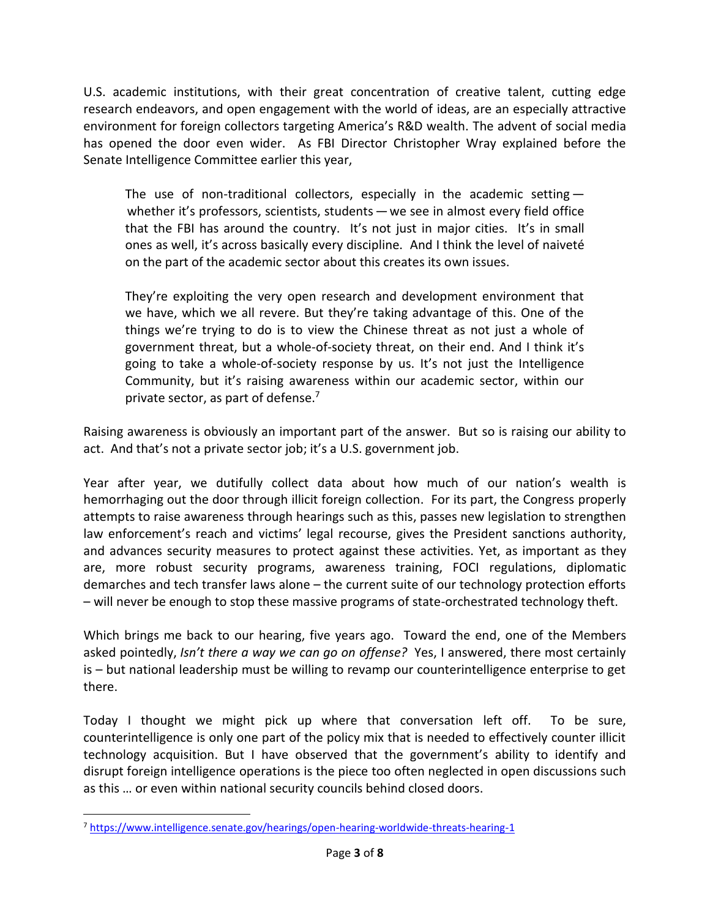U.S. academic institutions, with their great concentration of creative talent, cutting edge research endeavors, and open engagement with the world of ideas, are an especially attractive environment for foreign collectors targeting America's R&D wealth. The advent of social media has opened the door even wider. As FBI Director Christopher Wray explained before the Senate Intelligence Committee earlier this year,

The use of non-traditional collectors, especially in the academic setting  $$ whether it's professors, scientists, students — we see in almost every field office that the FBI has around the country. It's not just in major cities. It's in small ones as well, it's across basically every discipline. And I think the level of naiveté on the part of the academic sector about this creates its own issues.

They're exploiting the very open research and development environment that we have, which we all revere. But they're taking advantage of this. One of the things we're trying to do is to view the Chinese threat as not just a whole of government threat, but a whole-of-society threat, on their end. And I think it's going to take a whole-of-society response by us. It's not just the Intelligence Community, but it's raising awareness within our academic sector, within our private sector, as part of defense.<sup>7</sup>

Raising awareness is obviously an important part of the answer. But so is raising our ability to act. And that's not a private sector job; it's a U.S. government job.

Year after year, we dutifully collect data about how much of our nation's wealth is hemorrhaging out the door through illicit foreign collection. For its part, the Congress properly attempts to raise awareness through hearings such as this, passes new legislation to strengthen law enforcement's reach and victims' legal recourse, gives the President sanctions authority, and advances security measures to protect against these activities. Yet, as important as they are, more robust security programs, awareness training, FOCI regulations, diplomatic demarches and tech transfer laws alone – the current suite of our technology protection efforts – will never be enough to stop these massive programs of state-orchestrated technology theft.

Which brings me back to our hearing, five years ago. Toward the end, one of the Members asked pointedly, *Isn't there a way we can go on offense?* Yes, I answered, there most certainly is – but national leadership must be willing to revamp our counterintelligence enterprise to get there.

Today I thought we might pick up where that conversation left off. To be sure, counterintelligence is only one part of the policy mix that is needed to effectively counter illicit technology acquisition. But I have observed that the government's ability to identify and disrupt foreign intelligence operations is the piece too often neglected in open discussions such as this … or even within national security councils behind closed doors.

<sup>7</sup> <https://www.intelligence.senate.gov/hearings/open-hearing-worldwide-threats-hearing-1>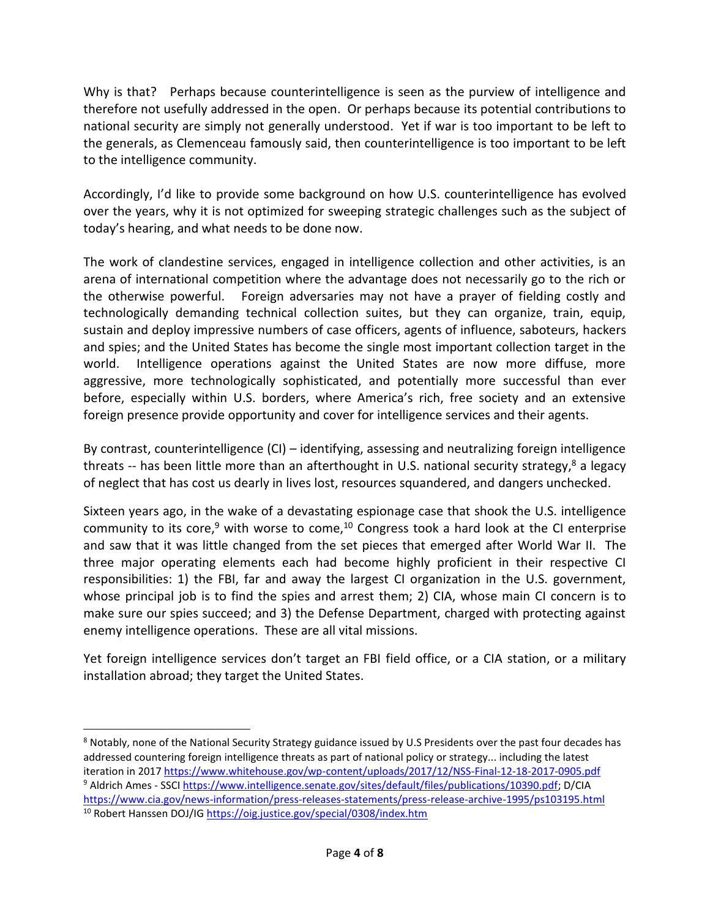Why is that? Perhaps because counterintelligence is seen as the purview of intelligence and therefore not usefully addressed in the open. Or perhaps because its potential contributions to national security are simply not generally understood. Yet if war is too important to be left to the generals, as Clemenceau famously said, then counterintelligence is too important to be left to the intelligence community.

Accordingly, I'd like to provide some background on how U.S. counterintelligence has evolved over the years, why it is not optimized for sweeping strategic challenges such as the subject of today's hearing, and what needs to be done now.

The work of clandestine services, engaged in intelligence collection and other activities, is an arena of international competition where the advantage does not necessarily go to the rich or the otherwise powerful. Foreign adversaries may not have a prayer of fielding costly and technologically demanding technical collection suites, but they can organize, train, equip, sustain and deploy impressive numbers of case officers, agents of influence, saboteurs, hackers and spies; and the United States has become the single most important collection target in the world. Intelligence operations against the United States are now more diffuse, more aggressive, more technologically sophisticated, and potentially more successful than ever before, especially within U.S. borders, where America's rich, free society and an extensive foreign presence provide opportunity and cover for intelligence services and their agents.

By contrast, counterintelligence (CI) – identifying, assessing and neutralizing foreign intelligence threats -- has been little more than an afterthought in U.S. national security strategy,<sup>8</sup> a legacy of neglect that has cost us dearly in lives lost, resources squandered, and dangers unchecked.

Sixteen years ago, in the wake of a devastating espionage case that shook the U.S. intelligence community to its core,<sup>9</sup> with worse to come,<sup>10</sup> Congress took a hard look at the CI enterprise and saw that it was little changed from the set pieces that emerged after World War II. The three major operating elements each had become highly proficient in their respective CI responsibilities: 1) the FBI, far and away the largest CI organization in the U.S. government, whose principal job is to find the spies and arrest them; 2) CIA, whose main CI concern is to make sure our spies succeed; and 3) the Defense Department, charged with protecting against enemy intelligence operations. These are all vital missions.

Yet foreign intelligence services don't target an FBI field office, or a CIA station, or a military installation abroad; they target the United States.

<sup>&</sup>lt;sup>8</sup> Notably, none of the National Security Strategy guidance issued by U.S Presidents over the past four decades has addressed countering foreign intelligence threats as part of national policy or strategy... including the latest iteration in 201[7 https://www.whitehouse.gov/wp-content/uploads/2017/12/NSS-Final-12-18-2017-0905.pdf](https://www.whitehouse.gov/wp-content/uploads/2017/12/NSS-Final-12-18-2017-0905.pdf) <sup>9</sup> Aldrich Ames - SSCI [https://www.intelligence.senate.gov/sites/default/files/publications/10390.pdf;](https://www.intelligence.senate.gov/sites/default/files/publications/10390.pdf) D/CIA <https://www.cia.gov/news-information/press-releases-statements/press-release-archive-1995/ps103195.html>

<sup>&</sup>lt;sup>10</sup> Robert Hanssen DOJ/IG<https://oig.justice.gov/special/0308/index.htm>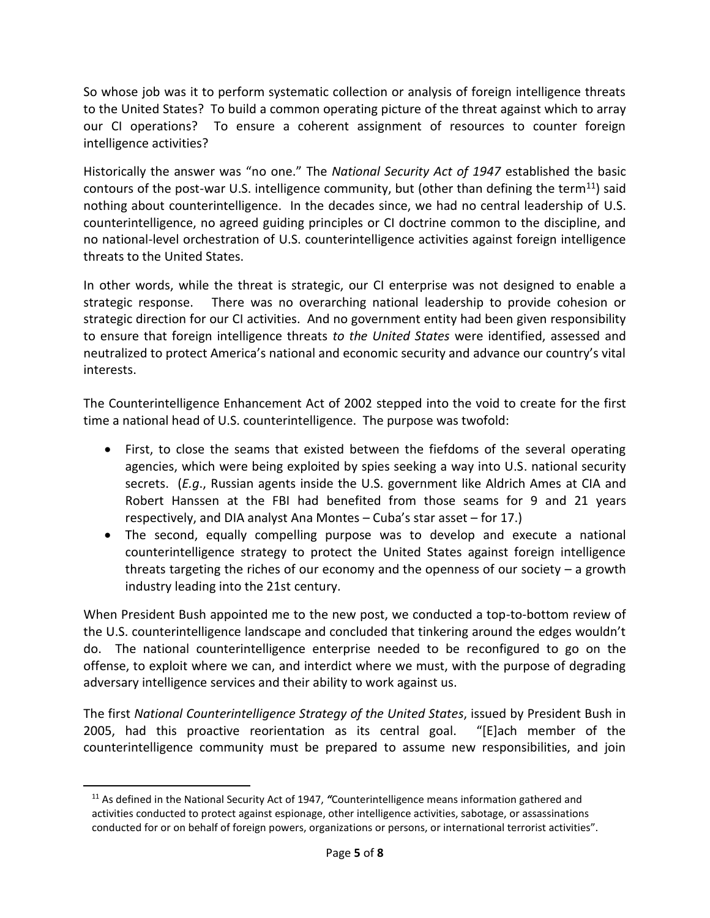So whose job was it to perform systematic collection or analysis of foreign intelligence threats to the United States? To build a common operating picture of the threat against which to array our CI operations? To ensure a coherent assignment of resources to counter foreign intelligence activities?

Historically the answer was "no one." The *National Security Act of 1947* established the basic contours of the post-war U.S. intelligence community, but (other than defining the term<sup>11</sup>) said nothing about counterintelligence. In the decades since, we had no central leadership of U.S. counterintelligence, no agreed guiding principles or CI doctrine common to the discipline, and no national-level orchestration of U.S. counterintelligence activities against foreign intelligence threats to the United States.

In other words, while the threat is strategic, our CI enterprise was not designed to enable a strategic response. There was no overarching national leadership to provide cohesion or strategic direction for our CI activities. And no government entity had been given responsibility to ensure that foreign intelligence threats *to the United States* were identified, assessed and neutralized to protect America's national and economic security and advance our country's vital interests.

The Counterintelligence Enhancement Act of 2002 stepped into the void to create for the first time a national head of U.S. counterintelligence. The purpose was twofold:

- First, to close the seams that existed between the fiefdoms of the several operating agencies, which were being exploited by spies seeking a way into U.S. national security secrets. (*E.g*., Russian agents inside the U.S. government like Aldrich Ames at CIA and Robert Hanssen at the FBI had benefited from those seams for 9 and 21 years respectively, and DIA analyst Ana Montes – Cuba's star asset – for 17.)
- The second, equally compelling purpose was to develop and execute a national counterintelligence strategy to protect the United States against foreign intelligence threats targeting the riches of our economy and the openness of our society  $-$  a growth industry leading into the 21st century.

When President Bush appointed me to the new post, we conducted a top-to-bottom review of the U.S. counterintelligence landscape and concluded that tinkering around the edges wouldn't do. The national counterintelligence enterprise needed to be reconfigured to go on the offense, to exploit where we can, and interdict where we must, with the purpose of degrading adversary intelligence services and their ability to work against us.

The first *National Counterintelligence Strategy of the United States*, issued by President Bush in 2005, had this proactive reorientation as its central goal. "[E]ach member of the counterintelligence community must be prepared to assume new responsibilities, and join

<sup>11</sup> As defined in the National Security Act of 1947, *"*Counterintelligence means information gathered and activities conducted to protect against espionage, other intelligence activities, sabotage, or assassinations conducted for or on behalf of foreign powers, organizations or persons, or international terrorist activities".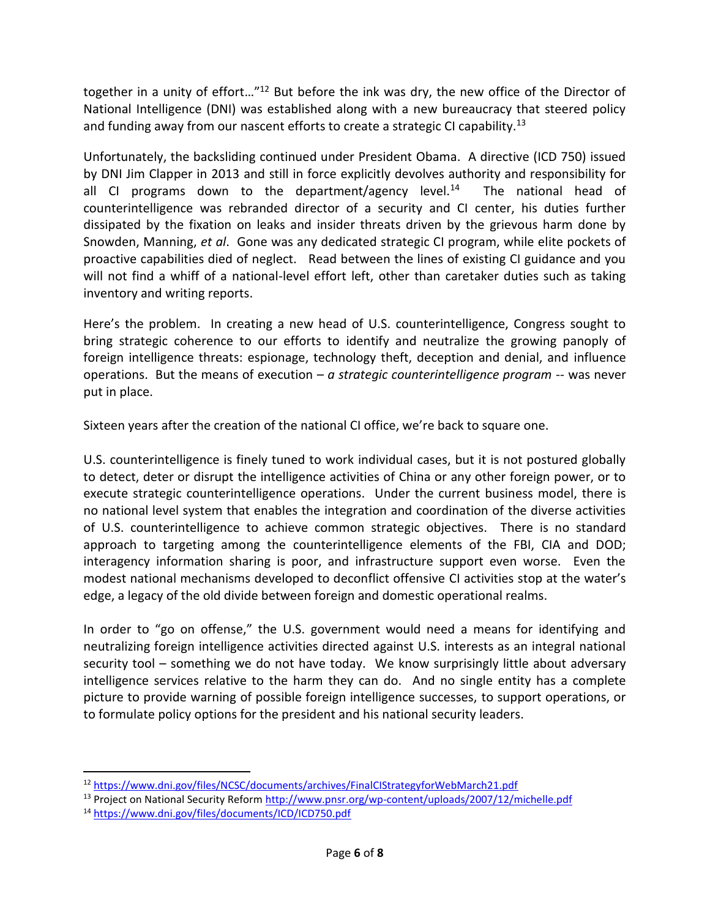together in a unity of effort…"<sup>12</sup> But before the ink was dry, the new office of the Director of National Intelligence (DNI) was established along with a new bureaucracy that steered policy and funding away from our nascent efforts to create a strategic CI capability.<sup>13</sup>

Unfortunately, the backsliding continued under President Obama. A directive (ICD 750) issued by DNI Jim Clapper in 2013 and still in force explicitly devolves authority and responsibility for all CI programs down to the department/agency level. $^{14}$  The national head of counterintelligence was rebranded director of a security and CI center, his duties further dissipated by the fixation on leaks and insider threats driven by the grievous harm done by Snowden, Manning, *et al*. Gone was any dedicated strategic CI program, while elite pockets of proactive capabilities died of neglect. Read between the lines of existing CI guidance and you will not find a whiff of a national-level effort left, other than caretaker duties such as taking inventory and writing reports.

Here's the problem. In creating a new head of U.S. counterintelligence, Congress sought to bring strategic coherence to our efforts to identify and neutralize the growing panoply of foreign intelligence threats: espionage, technology theft, deception and denial, and influence operations. But the means of execution – *a strategic counterintelligence program* -- was never put in place.

Sixteen years after the creation of the national CI office, we're back to square one.

U.S. counterintelligence is finely tuned to work individual cases, but it is not postured globally to detect, deter or disrupt the intelligence activities of China or any other foreign power, or to execute strategic counterintelligence operations. Under the current business model, there is no national level system that enables the integration and coordination of the diverse activities of U.S. counterintelligence to achieve common strategic objectives. There is no standard approach to targeting among the counterintelligence elements of the FBI, CIA and DOD; interagency information sharing is poor, and infrastructure support even worse. Even the modest national mechanisms developed to deconflict offensive CI activities stop at the water's edge, a legacy of the old divide between foreign and domestic operational realms.

In order to "go on offense," the U.S. government would need a means for identifying and neutralizing foreign intelligence activities directed against U.S. interests as an integral national security tool – something we do not have today. We know surprisingly little about adversary intelligence services relative to the harm they can do. And no single entity has a complete picture to provide warning of possible foreign intelligence successes, to support operations, or to formulate policy options for the president and his national security leaders.

 $\overline{a}$ 

<sup>12</sup> <https://www.dni.gov/files/NCSC/documents/archives/FinalCIStrategyforWebMarch21.pdf>

<sup>13</sup> Project on National Security Reform<http://www.pnsr.org/wp-content/uploads/2007/12/michelle.pdf>

<sup>14</sup> <https://www.dni.gov/files/documents/ICD/ICD750.pdf>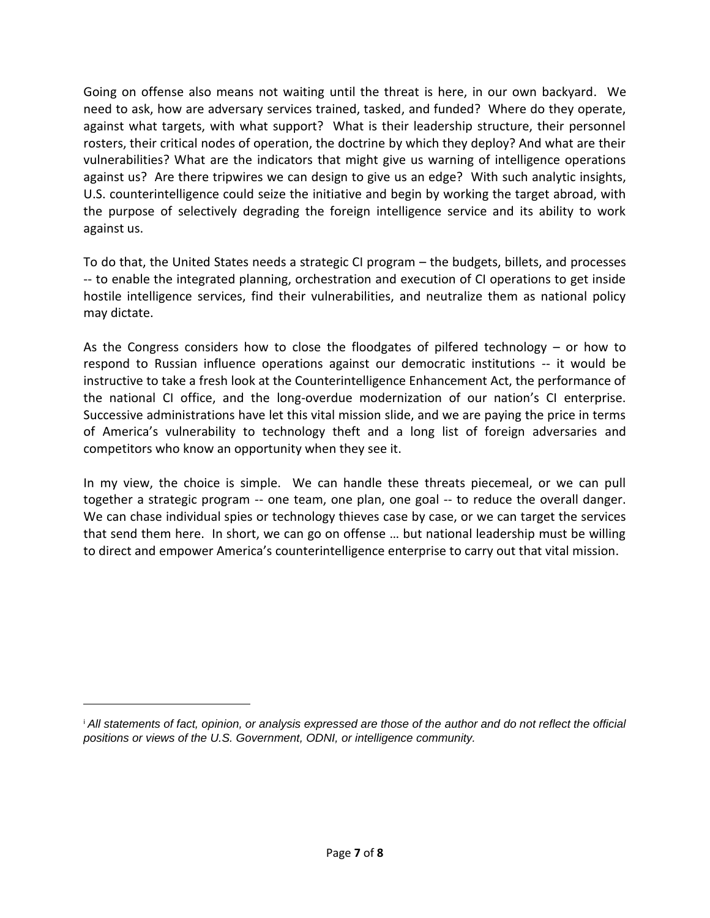Going on offense also means not waiting until the threat is here, in our own backyard. We need to ask, how are adversary services trained, tasked, and funded? Where do they operate, against what targets, with what support? What is their leadership structure, their personnel rosters, their critical nodes of operation, the doctrine by which they deploy? And what are their vulnerabilities? What are the indicators that might give us warning of intelligence operations against us? Are there tripwires we can design to give us an edge? With such analytic insights, U.S. counterintelligence could seize the initiative and begin by working the target abroad, with the purpose of selectively degrading the foreign intelligence service and its ability to work against us.

To do that, the United States needs a strategic CI program – the budgets, billets, and processes -- to enable the integrated planning, orchestration and execution of CI operations to get inside hostile intelligence services, find their vulnerabilities, and neutralize them as national policy may dictate.

As the Congress considers how to close the floodgates of pilfered technology – or how to respond to Russian influence operations against our democratic institutions -- it would be instructive to take a fresh look at the Counterintelligence Enhancement Act, the performance of the national CI office, and the long-overdue modernization of our nation's CI enterprise. Successive administrations have let this vital mission slide, and we are paying the price in terms of America's vulnerability to technology theft and a long list of foreign adversaries and competitors who know an opportunity when they see it.

In my view, the choice is simple. We can handle these threats piecemeal, or we can pull together a strategic program -- one team, one plan, one goal -- to reduce the overall danger. We can chase individual spies or technology thieves case by case, or we can target the services that send them here. In short, we can go on offense … but national leadership must be willing to direct and empower America's counterintelligence enterprise to carry out that vital mission.

<sup>&</sup>lt;sup>i</sup> All statements of fact, opinion, or analysis expressed are those of the author and do not reflect the official *positions or views of the U.S. Government, ODNI, or intelligence community.*